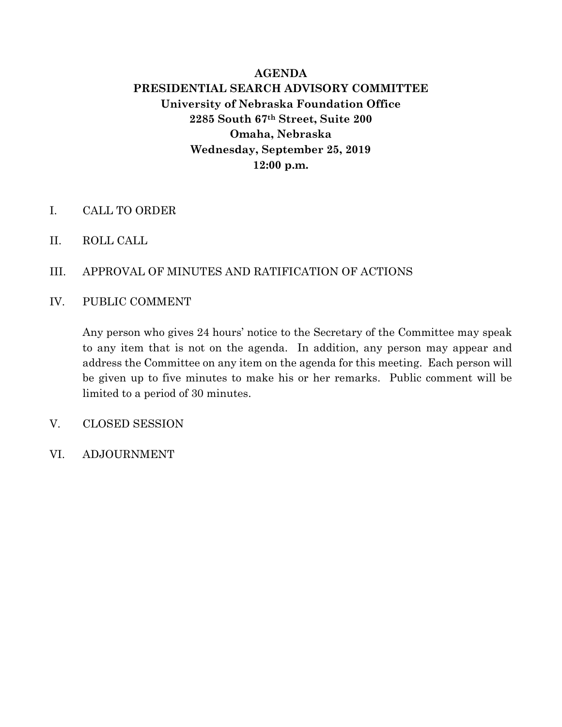# **AGENDA PRESIDENTIAL SEARCH ADVISORY COMMITTEE University of Nebraska Foundation Office 2285 South 67th Street, Suite 200 Omaha, Nebraska Wednesday, September 25, 2019 12:00 p.m.**

- I. CALL TO ORDER
- II. ROLL CALL
- III. APPROVAL OF MINUTES AND RATIFICATION OF ACTIONS
- IV. PUBLIC COMMENT

Any person who gives 24 hours' notice to the Secretary of the Committee may speak to any item that is not on the agenda. In addition, any person may appear and address the Committee on any item on the agenda for this meeting. Each person will be given up to five minutes to make his or her remarks. Public comment will be limited to a period of 30 minutes.

- V. CLOSED SESSION
- VI. ADJOURNMENT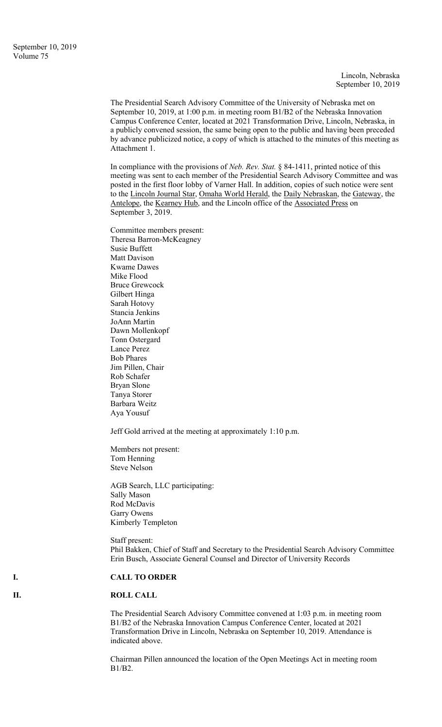The Presidential Search Advisory Committee of the University of Nebraska met on September 10, 2019, at 1:00 p.m. in meeting room B1/B2 of the Nebraska Innovation Campus Conference Center, located at 2021 Transformation Drive, Lincoln, Nebraska, in a publicly convened session, the same being open to the public and having been preceded by advance publicized notice, a copy of which is attached to the minutes of this meeting as Attachment 1.

In compliance with the provisions of *Neb. Rev. Stat.* § 84-1411, printed notice of this meeting was sent to each member of the Presidential Search Advisory Committee and was posted in the first floor lobby of Varner Hall. In addition, copies of such notice were sent to the Lincoln Journal Star, Omaha World Herald, the Daily Nebraskan, the Gateway, the Antelope, the Kearney Hub, and the Lincoln office of the Associated Press on September 3, 2019.

Committee members present: Theresa Barron-McKeagney Susie Buffett Matt Davison Kwame Dawes Mike Flood Bruce Grewcock Gilbert Hinga Sarah Hotovy Stancia Jenkins JoAnn Martin Dawn Mollenkopf Tonn Ostergard Lance Perez Bob Phares Jim Pillen, Chair Rob Schafer Bryan Slone Tanya Storer Barbara Weitz Aya Yousuf

Jeff Gold arrived at the meeting at approximately 1:10 p.m.

Members not present: Tom Henning Steve Nelson

AGB Search, LLC participating: Sally Mason Rod McDavis Garry Owens Kimberly Templeton

Staff present: Phil Bakken, Chief of Staff and Secretary to the Presidential Search Advisory Committee Erin Busch, Associate General Counsel and Director of University Records

### **I. CALL TO ORDER**

#### **II. ROLL CALL**

The Presidential Search Advisory Committee convened at 1:03 p.m. in meeting room B1/B2 of the Nebraska Innovation Campus Conference Center, located at 2021 Transformation Drive in Lincoln, Nebraska on September 10, 2019. Attendance is indicated above.

Chairman Pillen announced the location of the Open Meetings Act in meeting room B1/B2.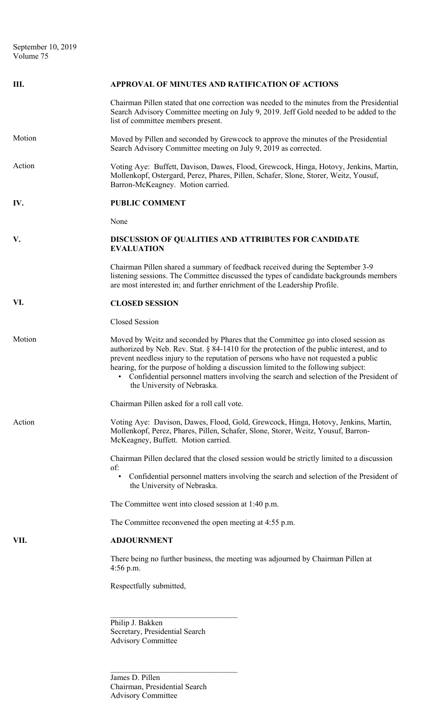| Ш.     | APPROVAL OF MINUTES AND RATIFICATION OF ACTIONS                                                                                                                                                                                                                                                                                                                                                                                                                                         |
|--------|-----------------------------------------------------------------------------------------------------------------------------------------------------------------------------------------------------------------------------------------------------------------------------------------------------------------------------------------------------------------------------------------------------------------------------------------------------------------------------------------|
|        | Chairman Pillen stated that one correction was needed to the minutes from the Presidential<br>Search Advisory Committee meeting on July 9, 2019. Jeff Gold needed to be added to the<br>list of committee members present.                                                                                                                                                                                                                                                              |
| Motion | Moved by Pillen and seconded by Grewcock to approve the minutes of the Presidential<br>Search Advisory Committee meeting on July 9, 2019 as corrected.                                                                                                                                                                                                                                                                                                                                  |
| Action | Voting Aye: Buffett, Davison, Dawes, Flood, Grewcock, Hinga, Hotovy, Jenkins, Martin,<br>Mollenkopf, Ostergard, Perez, Phares, Pillen, Schafer, Slone, Storer, Weitz, Yousuf,<br>Barron-McKeagney. Motion carried.                                                                                                                                                                                                                                                                      |
| IV.    | <b>PUBLIC COMMENT</b>                                                                                                                                                                                                                                                                                                                                                                                                                                                                   |
|        | None                                                                                                                                                                                                                                                                                                                                                                                                                                                                                    |
| V.     | DISCUSSION OF QUALITIES AND ATTRIBUTES FOR CANDIDATE<br><b>EVALUATION</b>                                                                                                                                                                                                                                                                                                                                                                                                               |
|        | Chairman Pillen shared a summary of feedback received during the September 3-9<br>listening sessions. The Committee discussed the types of candidate backgrounds members<br>are most interested in; and further enrichment of the Leadership Profile.                                                                                                                                                                                                                                   |
| VI.    | <b>CLOSED SESSION</b>                                                                                                                                                                                                                                                                                                                                                                                                                                                                   |
|        | Closed Session                                                                                                                                                                                                                                                                                                                                                                                                                                                                          |
| Motion | Moved by Weitz and seconded by Phares that the Committee go into closed session as<br>authorized by Neb. Rev. Stat. § 84-1410 for the protection of the public interest, and to<br>prevent needless injury to the reputation of persons who have not requested a public<br>hearing, for the purpose of holding a discussion limited to the following subject:<br>• Confidential personnel matters involving the search and selection of the President of<br>the University of Nebraska. |
|        | Chairman Pillen asked for a roll call vote.                                                                                                                                                                                                                                                                                                                                                                                                                                             |
| Action | Voting Aye: Davison, Dawes, Flood, Gold, Grewcock, Hinga, Hotovy, Jenkins, Martin,<br>Mollenkopf, Perez, Phares, Pillen, Schafer, Slone, Storer, Weitz, Yousuf, Barron-<br>McKeagney, Buffett. Motion carried.                                                                                                                                                                                                                                                                          |
|        | Chairman Pillen declared that the closed session would be strictly limited to a discussion<br>of:                                                                                                                                                                                                                                                                                                                                                                                       |
|        | Confidential personnel matters involving the search and selection of the President of<br>$\bullet$<br>the University of Nebraska.                                                                                                                                                                                                                                                                                                                                                       |
|        | The Committee went into closed session at 1:40 p.m.                                                                                                                                                                                                                                                                                                                                                                                                                                     |
|        | The Committee reconvened the open meeting at 4:55 p.m.                                                                                                                                                                                                                                                                                                                                                                                                                                  |
| VII.   | <b>ADJOURNMENT</b>                                                                                                                                                                                                                                                                                                                                                                                                                                                                      |
|        | There being no further business, the meeting was adjourned by Chairman Pillen at<br>$4:56$ p.m.                                                                                                                                                                                                                                                                                                                                                                                         |
|        | Respectfully submitted,                                                                                                                                                                                                                                                                                                                                                                                                                                                                 |
|        | Philip J. Bakken<br>Secretary, Presidential Search<br><b>Advisory Committee</b>                                                                                                                                                                                                                                                                                                                                                                                                         |

James D. Pillen Chairman, Presidential Search Advisory Committee

 $\mathcal{L}_\text{max}$